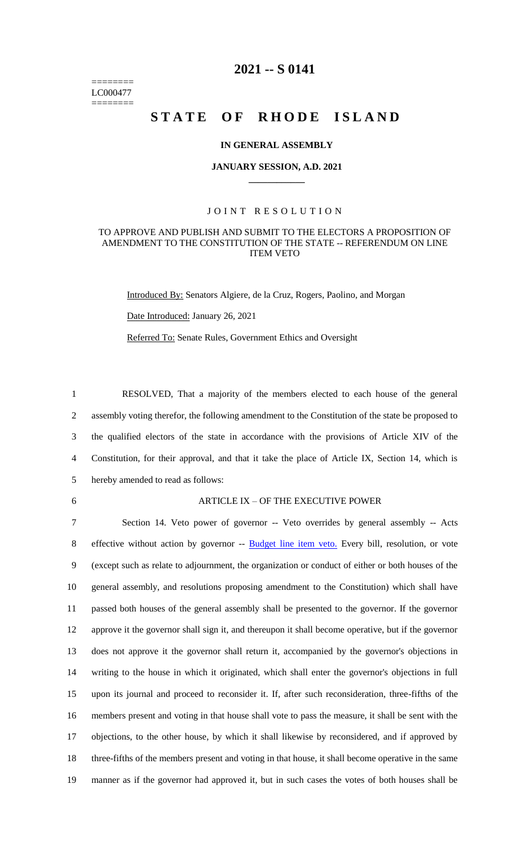======== LC000477 ========

## **2021 -- S 0141**

## STATE OF RHODE ISLAND

### **IN GENERAL ASSEMBLY**

### **JANUARY SESSION, A.D. 2021 \_\_\_\_\_\_\_\_\_\_\_\_**

### JOINT RESOLUTION

### TO APPROVE AND PUBLISH AND SUBMIT TO THE ELECTORS A PROPOSITION OF AMENDMENT TO THE CONSTITUTION OF THE STATE -- REFERENDUM ON LINE ITEM VETO

Introduced By: Senators Algiere, de la Cruz, Rogers, Paolino, and Morgan

Date Introduced: January 26, 2021

Referred To: Senate Rules, Government Ethics and Oversight

 RESOLVED, That a majority of the members elected to each house of the general assembly voting therefor, the following amendment to the Constitution of the state be proposed to the qualified electors of the state in accordance with the provisions of Article XIV of the Constitution, for their approval, and that it take the place of Article IX, Section 14, which is hereby amended to read as follows:

#### 6 ARTICLE IX – OF THE EXECUTIVE POWER

 Section 14. Veto power of governor -- Veto overrides by general assembly -- Acts 8 effective without action by governor -- Budget line item veto. Every bill, resolution, or vote (except such as relate to adjournment, the organization or conduct of either or both houses of the general assembly, and resolutions proposing amendment to the Constitution) which shall have passed both houses of the general assembly shall be presented to the governor. If the governor approve it the governor shall sign it, and thereupon it shall become operative, but if the governor does not approve it the governor shall return it, accompanied by the governor's objections in writing to the house in which it originated, which shall enter the governor's objections in full upon its journal and proceed to reconsider it. If, after such reconsideration, three-fifths of the members present and voting in that house shall vote to pass the measure, it shall be sent with the objections, to the other house, by which it shall likewise by reconsidered, and if approved by three-fifths of the members present and voting in that house, it shall become operative in the same manner as if the governor had approved it, but in such cases the votes of both houses shall be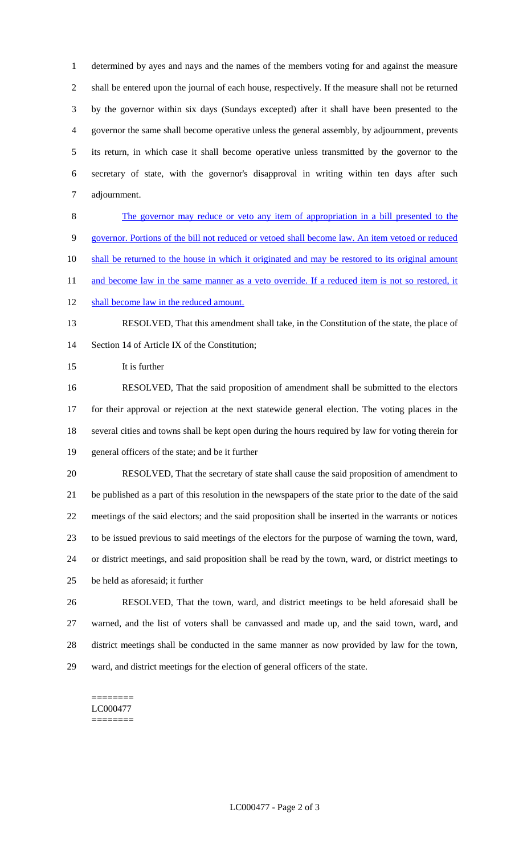determined by ayes and nays and the names of the members voting for and against the measure shall be entered upon the journal of each house, respectively. If the measure shall not be returned by the governor within six days (Sundays excepted) after it shall have been presented to the governor the same shall become operative unless the general assembly, by adjournment, prevents its return, in which case it shall become operative unless transmitted by the governor to the secretary of state, with the governor's disapproval in writing within ten days after such adjournment.

 The governor may reduce or veto any item of appropriation in a bill presented to the governor. Portions of the bill not reduced or vetoed shall become law. An item vetoed or reduced 10 shall be returned to the house in which it originated and may be restored to its original amount 11 and become law in the same manner as a veto override. If a reduced item is not so restored, it

12 shall become law in the reduced amount.

# RESOLVED, That this amendment shall take, in the Constitution of the state, the place of 14 Section 14 of Article IX of the Constitution:

It is further

 RESOLVED, That the said proposition of amendment shall be submitted to the electors for their approval or rejection at the next statewide general election. The voting places in the several cities and towns shall be kept open during the hours required by law for voting therein for general officers of the state; and be it further

- RESOLVED, That the secretary of state shall cause the said proposition of amendment to be published as a part of this resolution in the newspapers of the state prior to the date of the said meetings of the said electors; and the said proposition shall be inserted in the warrants or notices to be issued previous to said meetings of the electors for the purpose of warning the town, ward, or district meetings, and said proposition shall be read by the town, ward, or district meetings to be held as aforesaid; it further
- RESOLVED, That the town, ward, and district meetings to be held aforesaid shall be warned, and the list of voters shall be canvassed and made up, and the said town, ward, and district meetings shall be conducted in the same manner as now provided by law for the town, ward, and district meetings for the election of general officers of the state.

======== LC000477 ========